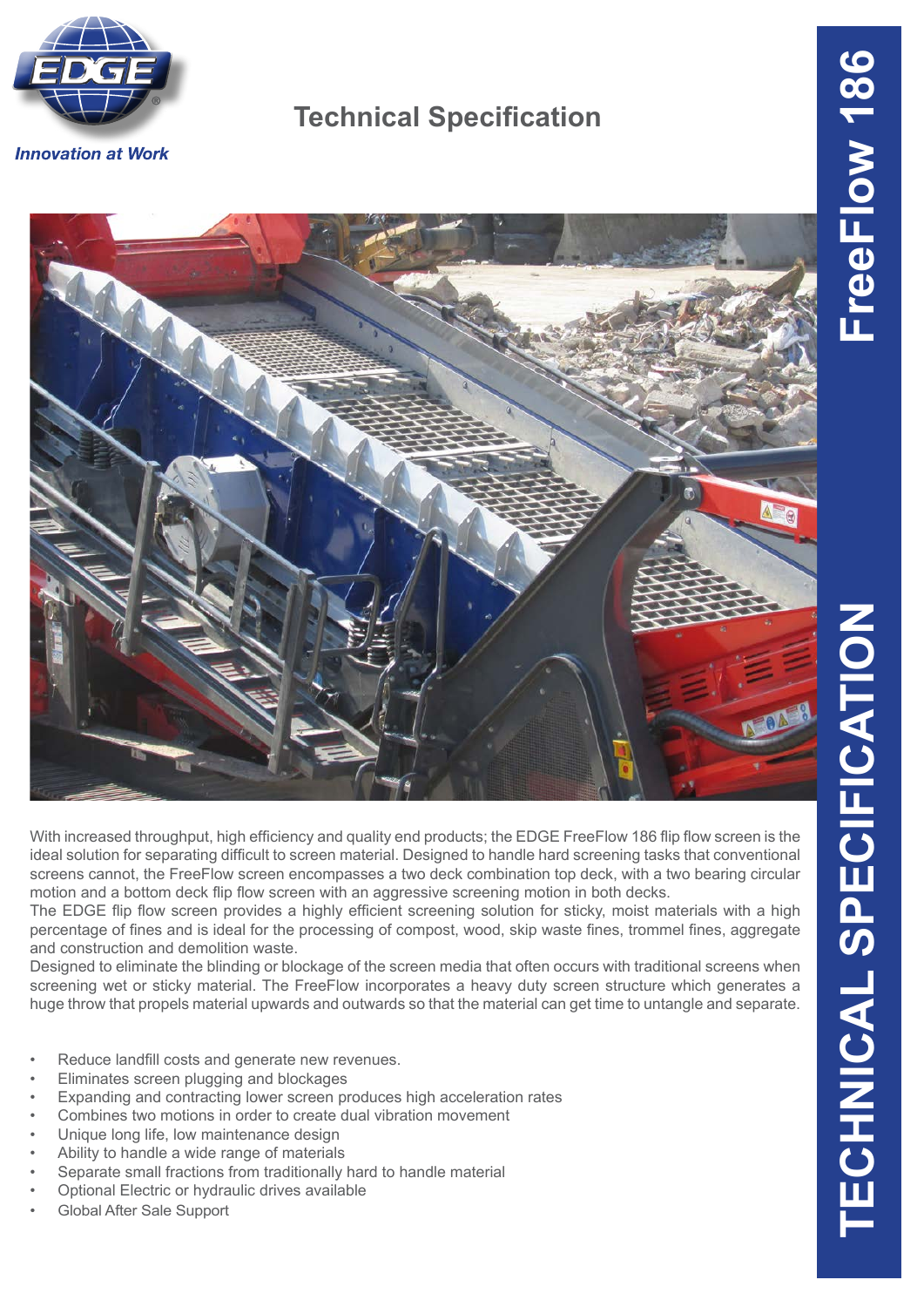

## **Technical Specification**



With increased throughput, high efficiency and quality end products; the EDGE FreeFlow 186 flip flow screen is the ideal solution for separating difficult to screen material. Designed to handle hard screening tasks that conventional screens cannot, the FreeFlow screen encompasses a two deck combination top deck, with a two bearing circular motion and a bottom deck flip flow screen with an aggressive screening motion in both decks.

The EDGE flip flow screen provides a highly efficient screening solution for sticky, moist materials with a high percentage of fines and is ideal for the processing of compost, wood, skip waste fines, trommel fines, aggregate and construction and demolition waste.

Designed to eliminate the blinding or blockage of the screen media that often occurs with traditional screens when screening wet or sticky material. The FreeFlow incorporates a heavy duty screen structure which generates a huge throw that propels material upwards and outwards so that the material can get time to untangle and separate.

- Reduce landfill costs and generate new revenues.
- Eliminates screen plugging and blockages
- Expanding and contracting lower screen produces high acceleration rates
- Combines two motions in order to create dual vibration movement
- Unique long life, low maintenance design
- Ability to handle a wide range of materials
- Separate small fractions from traditionally hard to handle material
- Optional Electric or hydraulic drives available
- Global After Sale Support